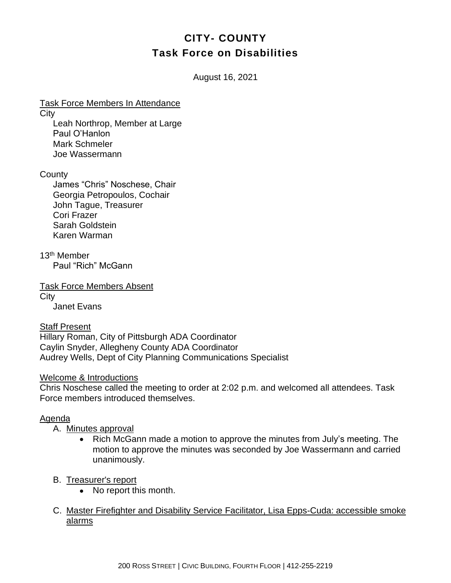# **CITY- COUNTY Task Force on Disabilities**

August 16, 2021

Task Force Members In Attendance

**City** 

Leah Northrop, Member at Large Paul O'Hanlon Mark Schmeler Joe Wassermann

**County** 

James "Chris" Noschese, Chair Georgia Petropoulos, Cochair John Tague, Treasurer Cori Frazer Sarah Goldstein Karen Warman

13th Member Paul "Rich" McGann

Task Force Members Absent **City** Janet Evans

Staff Present Hillary Roman, City of Pittsburgh ADA Coordinator Caylin Snyder, Allegheny County ADA Coordinator Audrey Wells, Dept of City Planning Communications Specialist

Welcome & Introductions

Chris Noschese called the meeting to order at 2:02 p.m. and welcomed all attendees. Task Force members introduced themselves.

# Agenda

# A. Minutes approval

• Rich McGann made a motion to approve the minutes from July's meeting. The motion to approve the minutes was seconded by Joe Wassermann and carried unanimously.

# B. Treasurer's report

- No report this month.
- C. Master Firefighter and Disability Service Facilitator, Lisa Epps-Cuda: accessible smoke alarms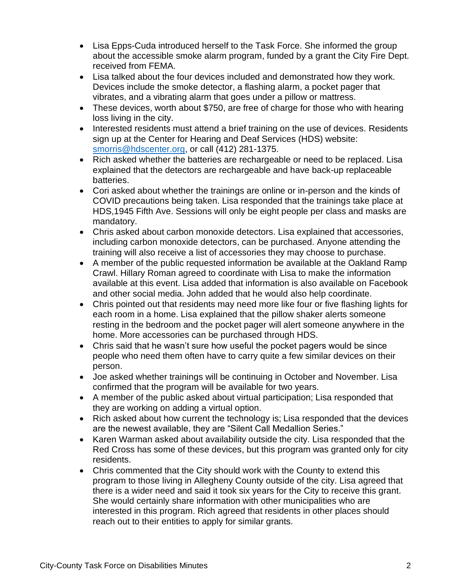- Lisa Epps-Cuda introduced herself to the Task Force. She informed the group about the accessible smoke alarm program, funded by a grant the City Fire Dept. received from FEMA.
- Lisa talked about the four devices included and demonstrated how they work. Devices include the smoke detector, a flashing alarm, a pocket pager that vibrates, and a vibrating alarm that goes under a pillow or mattress.
- These devices, worth about \$750, are free of charge for those who with hearing loss living in the city.
- Interested residents must attend a brief training on the use of devices. Residents sign up at the Center for Hearing and Deaf Services (HDS) website: [smorris@hdscenter.org,](mailto:smorris@hdscenter.org) or call (412) 281-1375.
- Rich asked whether the batteries are rechargeable or need to be replaced. Lisa explained that the detectors are rechargeable and have back-up replaceable batteries.
- Cori asked about whether the trainings are online or in-person and the kinds of COVID precautions being taken. Lisa responded that the trainings take place at HDS,1945 Fifth Ave. Sessions will only be eight people per class and masks are mandatory.
- Chris asked about carbon monoxide detectors. Lisa explained that accessories, including carbon monoxide detectors, can be purchased. Anyone attending the training will also receive a list of accessories they may choose to purchase.
- A member of the public requested information be available at the Oakland Ramp Crawl. Hillary Roman agreed to coordinate with Lisa to make the information available at this event. Lisa added that information is also available on Facebook and other social media. John added that he would also help coordinate.
- Chris pointed out that residents may need more like four or five flashing lights for each room in a home. Lisa explained that the pillow shaker alerts someone resting in the bedroom and the pocket pager will alert someone anywhere in the home. More accessories can be purchased through HDS.
- Chris said that he wasn't sure how useful the pocket pagers would be since people who need them often have to carry quite a few similar devices on their person.
- Joe asked whether trainings will be continuing in October and November. Lisa confirmed that the program will be available for two years.
- A member of the public asked about virtual participation; Lisa responded that they are working on adding a virtual option.
- Rich asked about how current the technology is; Lisa responded that the devices are the newest available, they are "Silent Call Medallion Series."
- Karen Warman asked about availability outside the city. Lisa responded that the Red Cross has some of these devices, but this program was granted only for city residents.
- Chris commented that the City should work with the County to extend this program to those living in Allegheny County outside of the city. Lisa agreed that there is a wider need and said it took six years for the City to receive this grant. She would certainly share information with other municipalities who are interested in this program. Rich agreed that residents in other places should reach out to their entities to apply for similar grants.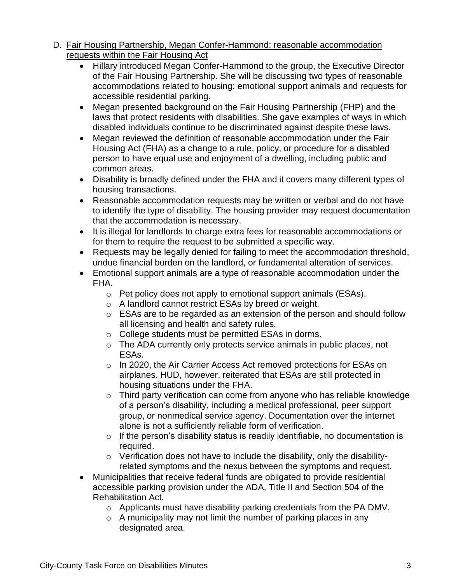- D. Fair Housing Partnership, Megan Confer-Hammond: reasonable accommodation requests within the Fair Housing Act
	- Hillary introduced Megan Confer-Hammond to the group, the Executive Director of the Fair Housing Partnership. She will be discussing two types of reasonable accommodations related to housing: emotional support animals and requests for accessible residential parking.
	- Megan presented background on the Fair Housing Partnership (FHP) and the laws that protect residents with disabilities. She gave examples of ways in which disabled individuals continue to be discriminated against despite these laws.
	- Megan reviewed the definition of reasonable accommodation under the Fair Housing Act (FHA) as a change to a rule, policy, or procedure for a disabled person to have equal use and enjoyment of a dwelling, including public and common areas.
	- Disability is broadly defined under the FHA and it covers many different types of housing transactions.
	- Reasonable accommodation requests may be written or verbal and do not have to identify the type of disability. The housing provider may request documentation that the accommodation is necessary.
	- It is illegal for landlords to charge extra fees for reasonable accommodations or for them to require the request to be submitted a specific way.
	- Requests may be legally denied for failing to meet the accommodation threshold, undue financial burden on the landlord, or fundamental alteration of services.
	- Emotional support animals are a type of reasonable accommodation under the FHA.
		- o Pet policy does not apply to emotional support animals (ESAs).
		- o A landlord cannot restrict ESAs by breed or weight.
		- o ESAs are to be regarded as an extension of the person and should follow all licensing and health and safety rules.
		- o College students must be permitted ESAs in dorms.
		- o The ADA currently only protects service animals in public places, not ESAs.
		- o In 2020, the Air Carrier Access Act removed protections for ESAs on airplanes. HUD, however, reiterated that ESAs are still protected in housing situations under the FHA.
		- o Third party verification can come from anyone who has reliable knowledge of a person's disability, including a medical professional, peer support group, or nonmedical service agency. Documentation over the internet alone is not a sufficiently reliable form of verification.
		- $\circ$  If the person's disability status is readily identifiable, no documentation is required.
		- o Verification does not have to include the disability, only the disabilityrelated symptoms and the nexus between the symptoms and request.
	- Municipalities that receive federal funds are obligated to provide residential accessible parking provision under the ADA, Title II and Section 504 of the Rehabilitation Act.
		- o Applicants must have disability parking credentials from the PA DMV.
		- $\circ$  A municipality may not limit the number of parking places in any designated area.